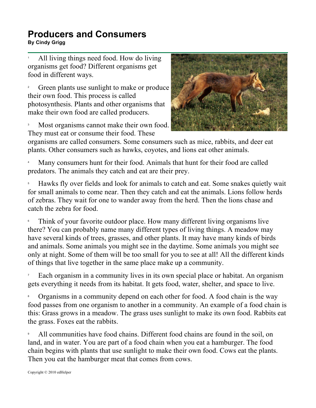## **Producers and Consumers PTOUUCETS AND CONSUMERS**<br>By Cindy Grigg

1 All living things need food. How do living organisms get food? Different organisms get food in different ways.

2 Green plants use sunlight to make or produce their own food. This process is called photosynthesis. Plants and other organisms that make their own food are called producers.

3 Most organisms cannot make their own food. They must eat or consume their food. These



organisms are called consumers. Some consumers such as mice, rabbits, and deer eat plants. Other consumers such as hawks, coyotes, and lions eat other animals.

4 Many consumers hunt for their food. Animals that hunt for their food are called predators. The animals they catch and eat are their prey.

5 Hawks fly over fields and look for animals to catch and eat. Some snakes quietly wait for small animals to come near. Then they catch and eat the animals. Lions follow herds of zebras. They wait for one to wander away from the herd. Then the lions chase and catch the zebra for food.

6 Think of your favorite outdoor place. How many different living organisms live there? You can probably name many different types of living things. A meadow may have several kinds of trees, grasses, and other plants. It may have many kinds of birds and animals. Some animals you might see in the daytime. Some animals you might see only at night. Some of them will be too small for you to see at all! All the different kinds of things that live together in the same place make up a community.

7 Each organism in a community lives in its own special place or habitat. An organism gets everything it needs from its habitat. It gets food, water, shelter, and space to live.

8 Organisms in a community depend on each other for food. A food chain is the way food passes from one organism to another in a community. An example of a food chain is this: Grass grows in a meadow. The grass uses sunlight to make its own food. Rabbits eat the grass. Foxes eat the rabbits.

9 All communities have food chains. Different food chains are found in the soil, on land, and in water. You are part of a food chain when you eat a hamburger. The food chain begins with plants that use sunlight to make their own food. Cows eat the plants. Then you eat the hamburger meat that comes from cows.